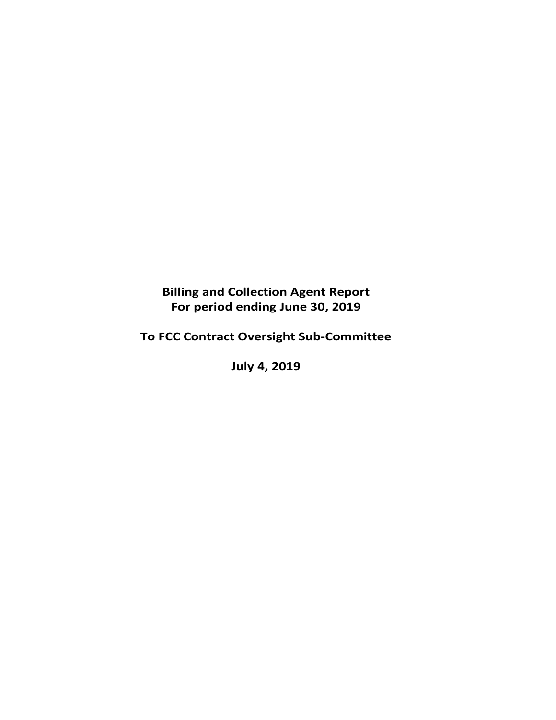**Billing and Collection Agent Report For period ending June 30, 2019** 

**To FCC Contract Oversight Sub‐Committee** 

**July 4, 2019**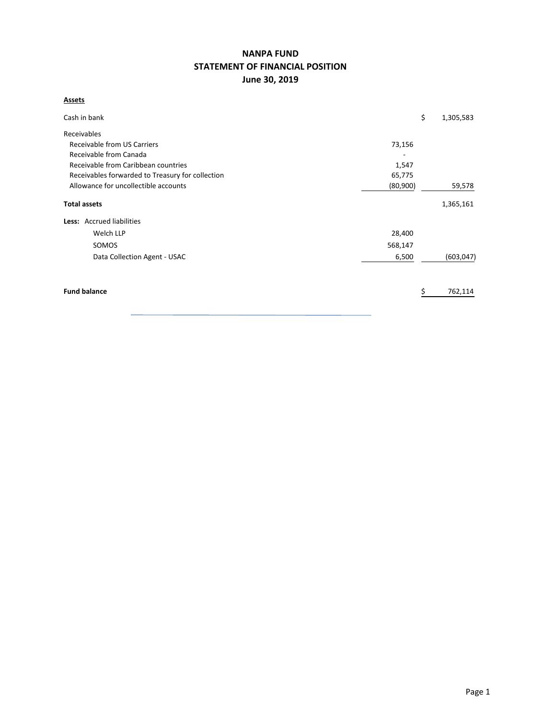# **NANPA FUND STATEMENT OF FINANCIAL POSITION June 30, 2019**

# **Assets**

| Cash in bank                                     |          | \$<br>1,305,583 |            |
|--------------------------------------------------|----------|-----------------|------------|
| Receivables                                      |          |                 |            |
| Receivable from US Carriers                      | 73,156   |                 |            |
| Receivable from Canada                           |          |                 |            |
| Receivable from Caribbean countries              | 1,547    |                 |            |
| Receivables forwarded to Treasury for collection | 65,775   |                 |            |
| Allowance for uncollectible accounts             | (80,900) |                 | 59,578     |
| <b>Total assets</b>                              |          | 1,365,161       |            |
| <b>Less:</b> Accrued liabilities                 |          |                 |            |
| Welch LLP                                        | 28,400   |                 |            |
| SOMOS                                            | 568,147  |                 |            |
| Data Collection Agent - USAC                     | 6,500    |                 | (603, 047) |
|                                                  |          |                 |            |
| <b>Fund balance</b>                              |          |                 | 762,114    |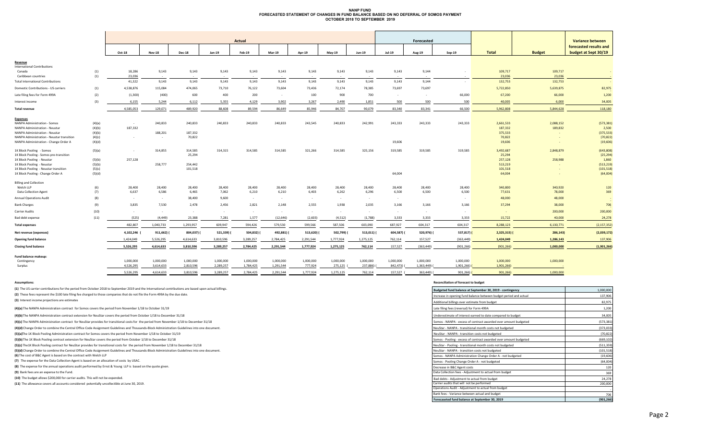#### **NANP FUND FORECASTED STATEMENT OF CHANGES IN FUND BALANCE BASED ON NO DEFERRAL OF SOMOS PAYMENTOCTOBER 2018 TO SEPTEMBER 2019**

|                                               |        |             |               | <b>Actual</b> |           |            |               |           |           | Forecasted |               |            |             |               | <b>Variance between</b> |                                                |
|-----------------------------------------------|--------|-------------|---------------|---------------|-----------|------------|---------------|-----------|-----------|------------|---------------|------------|-------------|---------------|-------------------------|------------------------------------------------|
|                                               |        | Oct-18      | <b>Nov-18</b> | Dec-18        | Jan-19    | Feb-19     | <b>Mar-19</b> | Apr-19    | May-19    | Jun-19     | <b>Jul-19</b> | Aug-19     | Sep-19      | <b>Total</b>  | <b>Budget</b>           | forecasted results and<br>budget at Sept 30/19 |
|                                               |        |             |               |               |           |            |               |           |           |            |               |            |             |               |                         |                                                |
| Revenue<br><b>International Contributions</b> |        |             |               |               |           |            |               |           |           |            |               |            |             |               |                         |                                                |
| Canada                                        | (1)    | 18,286      | 9,143         | 9,143         | 9,143     | 9,143      | 9,143         | 9,143     | 9,143     | 9,143      | 9,143         | 9,144      |             | 109,717       | 109,717                 |                                                |
| Caribbean countries                           | (1)    | 23.036      | $\sim$        | $\sim$        | $\sim$    |            |               |           | $\sim$    | $\sim$     |               | $\sim$     |             | 23,036        | 23,036                  |                                                |
| <b>Total International Contributions</b>      |        | 41,322      | 9,143         | 9,143         | 9,143     | 9,143      | 9,143         | 9,143     | 9,143     | 9,143      | 9,143         | 9,144      | $\sim$      | 132,753       | 132,753                 |                                                |
| Domestic Contributions - US carriers          | (1)    | 4,538,876   | 115,084       | 474,065       | 73,710    | 76,122     | 73,604        | 73,436    | 72,174    | 78,385     | 73,697        | 73,697     |             | 5,722,850     | 5,639,875               | 82,975                                         |
| Late filing fees for Form 499A                | (2)    | (1, 300)    | (400)         | 600           | 400       | 200        | $\sim$        | 100       | 900       | 700        |               | $\sim$     | 66,000      | 67,200        | 66,000                  | 1,200                                          |
| Interest income                               | (3)    | 6,155       | 5,244         | 6,112         | 5,355     | 4,129      | 3,902         | 3,267     | 2,490     | 1,851      | 500           | 500        | 500         | 40,005        | 6,000                   | 34,005                                         |
| <b>Total revenue</b>                          |        | 4,585,053   | 129,071       | 489,920       | 88,608    | 89,594     | 86,649        | 85,946    | 84,707    | 90,079     | 83,340        | 83,341     | 66,500      | 5,962,808     | 5,844,628               | 118,180                                        |
| <b>Expenses</b>                               |        |             |               |               |           |            |               |           |           |            |               |            |             |               |                         |                                                |
| <b>NANPA Administration - Somos</b>           | (4)(a) | $\sim$      | 240,833       | 240,833       | 240.833   | 240,833    | 240.833       | 243,545   | 240,833   | 242,991    | 243,333       | 243,333    | 243,333     | 2,661,533     | 2,088,152               | (573, 381)                                     |
| NANPA Administration - Neustar                | (4)(b) | 187,332     |               |               |           |            |               |           |           |            |               |            |             | 187,332       | 189,832                 | 2,500                                          |
| <b>NANPA Administration - Neustar</b>         | (4)(b) |             | 188,201       | 187,332       |           |            |               |           |           |            |               |            |             | 375,533       |                         | (375, 533)                                     |
| NANPA Administration - Neustar transition     | (4)(c) | $\sim$      |               | 70,822        |           |            |               |           |           |            |               |            |             | 70,822        |                         | (70, 822)                                      |
| NANPA Administration - Change Order A         | (4)(d) |             |               |               |           |            |               |           |           |            | 19,606        |            |             | 19,606        |                         | (19,606)                                       |
| 1K Block Pooling - Somos                      | (5)(a) | $\sim$      | 314,855       | 314,585       | 314,315   | 314,585    | 314,585       | 321,266   | 314,585   | 325,156    | 319,585       | 319,585    | 319,585     | 3,492,687     | 2,848,879               | (643,808)                                      |
| 1K Block Pooling - Somos pre-transition       |        |             |               | 25,294        |           |            |               |           |           |            |               |            |             | 25,294        |                         | (25, 294)                                      |
| 1K Block Pooling - Neustar                    | (5)(b) | 257,128     |               |               |           |            |               |           |           |            |               |            |             | 257,128       | 258,988                 | 1,860                                          |
| 1K Block Pooling - Neustar                    | (5)(b) |             | 258,777       | 254,442       |           |            |               |           |           |            |               |            |             | 513,219       |                         | (513, 219)                                     |
| 1K Block Pooling - Neustar transition         | (5)(c) |             |               | 101,518       |           |            |               |           |           |            |               |            |             | 101,518       |                         | (101, 518)                                     |
| 1K Block Pooling - Change Order A             | (5)(d) |             |               |               |           |            |               |           |           |            | 64,004        |            |             | 64,004        |                         | (64,004)                                       |
| <b>Billing and Collection</b>                 |        |             |               |               |           |            |               |           |           |            |               |            |             |               |                         |                                                |
| Welch LLP                                     | (6)    | 28,400      | 28,400        | 28,400        | 28,400    | 28,400     | 28,400        | 28,400    | 28,400    | 28,400     | 28,400        | 28,400     | 28,400      | 340,800       | 340,920                 | 120                                            |
| Data Collection Agent                         | (7)    | 6,637       | 6,586         | 6,465         | 7,062     | 6,210      | 6,210         | 6,403     | 6,262     | 6,296      | 6,500         | 6,500      | 6,500       | 77,631        | 78,000                  | 369                                            |
| <b>Annual Operations Audit</b>                | (8)    | $\sim$      | $\sim$        | 38,400        | 9,600     | $\sim$     | $\sim$        | $\sim$    | $\sim$    | $\sim$     | $\sim$        |            | $\sim$      | 48,000        | 48,000                  |                                                |
| <b>Bank Charges</b>                           | (9)    | 3,835       | 7,530         | 2,478         | 2,456     | 2,821      | 2,148         | 2,555     | 1,938     | 2,035      | 3,166         | 3,166      | 3,166       | 37,294        | 38,000                  | 706                                            |
| Carrier Audits                                | (10)   | $\sim$      | $\sim$        | $\sim$        | $\sim$    | $\sim$     | $\sim$        | $\sim$    | $\sim$    | $\sim$     | $\sim$        | $\sim$     | $\sim$      | $\sim$        | 200,000                 | 200,000                                        |
| <b>Bad debt expense</b>                       | (11)   | (525)       | (4, 449)      | 23,388        | 7,281     | 1,577      | (12, 646)     | (2,603)   | (4,512)   | (1,788)    | 3,333         | 3,333      | 3,333       | 15,722        | 40,000                  | 24,278                                         |
| Total expenses                                |        | 482,807     | 1,040,733     | 1,293,957     | 609,947   | 594,426    | 579,530       | 599,566   | 587,506   | 603,090    | 687,927       | 604,317    | 604,317     | 8,288,123     | 6,130,771               | (2, 157, 352)                                  |
| Net revenue (expenses)                        |        | 4,102,246 ( | 911,662) (    | 804,037)      | 521,339)  | 504,832) ( | 492,881)      | 513,620)  | 502,799)  | 513,011)   | 604,587) (    | 520,976) ( | $537,817$ ( | $2,325,315$ ( | 286,143                 | (2,039,172)                                    |
| <b>Opening fund balance</b>                   |        | 1,424,049   | 5,526,295     | 4,614,633     | 3,810,596 | 3,289,257  | 2,784,425     | 2,291,544 | 1,777,924 | 1,275,125  | 762,114       | 157,527    | (363, 449)  | 1,424,049     | 1,286,143               | 137,906                                        |
| <b>Closing fund balance</b>                   |        | 5,526,295   | 4,614,633     | 3,810,596     | 3,289,257 | 2,784,425  | 2,291,544     | 1,777,924 | 1,275,125 | 762,114    | 157,527       | (363, 449) | (901, 266)  | (901, 266)    | 1,000,000               | (1,901,266)                                    |
| Fund balance makeup:                          |        |             |               |               |           |            |               |           |           |            |               |            |             |               |                         |                                                |
| Contingency                                   |        | 1,000,000   | 1,000,000     | 1,000,000     | 1,000,000 | 1,000,000  | 1,000,000     | 1,000,000 | 1,000,000 | 1,000,000  | 1,000,000     | 1,000,000  | 1,000,000   | 1,000,000     | 1,000,000               |                                                |
| Surplus                                       |        | 4,526,295   | 3,614,633     | 2,810,596     | 2,289,257 | 1,784,425  | 1,291,544     | 777,924   | 275,125   | 237,886)   | 842,473)      | 1,363,449) | 1,901,266)  | 1,901,266     |                         |                                                |
|                                               |        | 5,526,295   | 4.614.633     | 3.810.596     | 3,289,257 | 2,784,425  | 2,291,544     | 1,777,924 | 1,275,125 | 762,114    | 157,527       | 363,449) ( | 901,266     | 901,266)      | 1.000.000               |                                                |

(2) These fees represent the \$100 late filing fee charged to those companies that do not file the Form 499A by the due date. **(1)** The US carrier contributions for the period from October 2018 to September 2019 and the International contributions are based upon actual billings.

#### **Assumptions: Reconciliation of forecast to budget**

| (1) The US carrier contributions for the period from October 2018 to September 2019 and the International contributions are based upon actual billings. | Budgeted fund balance at September 30, 2019 - contingency         | 1,000,000  |
|---------------------------------------------------------------------------------------------------------------------------------------------------------|-------------------------------------------------------------------|------------|
| (2) These fees represent the \$100 late filing fee charged to those companies that do not file the Form 499A by the due date.                           | Increase in opening fund balance between budget period and actual | 137,906    |
| (3) Interest income projections are estimates                                                                                                           | Additional billings over estimate from budget                     | 82,975     |
| (4)(a) The NANPA Administration contract for Somos covers the period from November 1/18 to October 31/19                                                | Late filing fees (reversal) for Form 499A                         | 1,200      |
| (4)(b) The NANPA Administration contract extension for NeuStar covers the period from October 1/18 to December 31/18                                    | Underestimate of interest earned to date compared to budget       | 34,005     |
| (4)(c) The NANPA Administration contract for NeuStar provides for transitional costs for the period from November 1/18 to December 31/18                | Somos - NANPA - excess of contract awarded over amount budgeted   | (573, 381) |
| (4)(d) Change Order to combine the Central Office Code Assignment Guidelines and Thousands-Block Administration Guidelines into one document.           | NeuStar - NANPA - transitional month costs not budgeted           | (373, 033) |
| (5)(a)The 1K Block Pooling Administration contract for Somos covers the period from November 1/18 to October 31/19                                      | NeuStar - NANPA - transition costs not budgeted                   | (70, 822)  |
| (5)(b) The 1K Block Pooling contract extension for NeuStar covers the period from October 1/18 to December 31/18                                        | Somos - Pooling - excess of contract awarded over amount budgeted | (669, 102) |
| (5)(c) The 1K Block Pooling contract for NeuStar provides for transitional costs for the period from November 1/18 to December 31/18                    | NeuStar - Pooling - transitional month costs not budgeted         | (511, 359) |
| (5)(d) Change Order to combine the Central Office Code Assignment Guidelines and Thousands-Block Administration Guidelines into one document.           | NeuStar - NANPA - transition costs not budgeted                   | (101, 518) |
| (6) The cost of B&C Agent is based on the contract with Welch LLP                                                                                       | Somos - NANPA Administration Change Order A - not budgeted        | (19, 606)  |
| (7) The expense for the Data Collection Agent is based on an allocation of costs by USAC.                                                               | Somos - Pooling Change Order A - not budgeted                     | (64,004)   |
| (8) The expense for the annual operations audit performed by Ernst & Young LLP is based on the quote given.                                             | Decrease in B&C Agent costs                                       | 120        |
| (9) Bank fees are an expense to the Fund.                                                                                                               | Data Collection fees - Adjustment to actual from budget           | 369        |
| (10) The budget allows \$200,000 for carrier audits. This will not be expended.                                                                         | Bad debts - Adiustment to actual from budget                      | 24.278     |
| (11) The allowance covers all accounts considered potentially uncollectible at June 30, 2019.                                                           | Carrier audits that will not be performed                         | 200,000    |
|                                                                                                                                                         | Operations Audit - Adjustment to actual from budget               |            |
|                                                                                                                                                         | Bank fees - Variance between actual and budget                    | 706        |
|                                                                                                                                                         | Forecaseted fund balance at September 30, 2019                    | (901, 266) |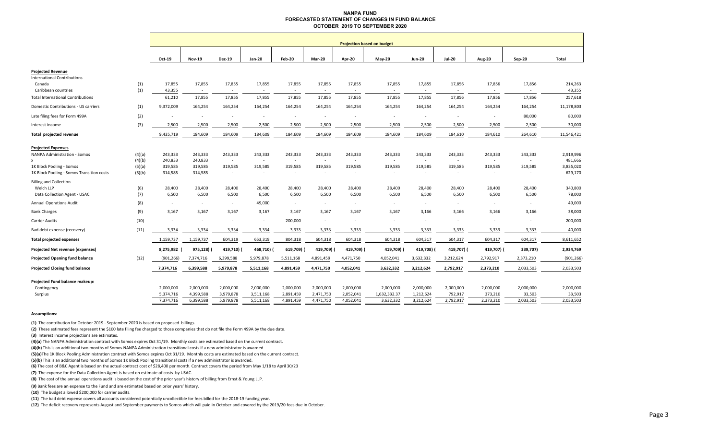#### **NANPA FUND FORECASTED STATEMENT OF CHANGES IN FUND BALANCEOCTOBER 2019 TO SEPTEMBER 2020**

|                                                                  |            | <b>Projection based on budget</b> |               |                |                          |                          |           |                          |                          |                          |                          |           |           |            |
|------------------------------------------------------------------|------------|-----------------------------------|---------------|----------------|--------------------------|--------------------------|-----------|--------------------------|--------------------------|--------------------------|--------------------------|-----------|-----------|------------|
|                                                                  |            | Oct-19                            | <b>Nov-19</b> | <b>Dec-19</b>  | Jan-20                   | <b>Feb-20</b>            | Mar-20    | Apr-20                   | <b>May-20</b>            | <b>Jun-20</b>            | <b>Jul-20</b>            | Aug-20    | Sep-20    | Total      |
|                                                                  |            |                                   |               |                |                          |                          |           |                          |                          |                          |                          |           |           |            |
| <b>Projected Revenue</b>                                         |            |                                   |               |                |                          |                          |           |                          |                          |                          |                          |           |           |            |
| <b>International Contributions</b><br>Canada                     |            | 17,855                            | 17,855        | 17,855         | 17,855                   | 17,855                   | 17,855    | 17,855                   | 17,855                   | 17,855                   | 17,856                   | 17,856    | 17,856    | 214,263    |
| Caribbean countries                                              | (1)<br>(1) | 43,355                            | $\sim$        |                |                          |                          |           |                          |                          |                          |                          |           |           | 43,355     |
| <b>Total International Contributions</b>                         |            | 61,210                            | 17,855        | 17,855         | 17,855                   | 17,855                   | 17,855    | 17,855                   | 17,855                   | 17,855                   | 17,856                   | 17,856    | 17,856    | 257,618    |
| Domestic Contributions - US carriers                             | (1)        | 9,372,009                         | 164,254       | 164,254        | 164,254                  | 164,254                  | 164,254   | 164,254                  | 164,254                  | 164,254                  | 164,254                  | 164,254   | 164,254   | 11,178,803 |
| Late filing fees for Form 499A                                   | (2)        |                                   |               |                | $\sim$                   |                          |           |                          | $\sim$                   | $\sim$                   |                          | $\sim$    | 80,000    | 80,000     |
| Interest income                                                  | (3)        | 2,500                             | 2,500         | 2,500          | 2,500                    | 2,500                    | 2,500     | 2,500                    | 2,500                    | 2,500                    | 2,500                    | 2,500     | 2,500     | 30,000     |
| Total projected revenue                                          |            | 9,435,719                         | 184,609       | 184,609        | 184,609                  | 184,609                  | 184,609   | 184,609                  | 184,609                  | 184,609                  | 184,610                  | 184,610   | 264,610   | 11,546,421 |
|                                                                  |            |                                   |               |                |                          |                          |           |                          |                          |                          |                          |           |           |            |
| <b>Projected Expenses</b><br><b>NANPA Administration - Somos</b> | (4)(a)     | 243,333                           | 243,333       | 243,333        | 243,333                  | 243,333                  | 243,333   | 243,333                  | 243,333                  | 243,333                  | 243,333                  | 243,333   | 243,333   | 2,919,996  |
|                                                                  | (4)(b)     | 240,833                           | 240,833       | $\sim$         | $\sim$                   | $\sim$                   | $\sim$    | $\sim$                   | $\sim$                   | $\sim$                   | $\sim$                   | $\sim$    |           | 481,666    |
| 1K Block Pooling - Somos                                         | (5)(a)     | 319,585                           | 319,585       | 319,585        | 319,585                  | 319,585                  | 319,585   | 319,585                  | 319,585                  | 319,585                  | 319,585                  | 319,585   | 319,585   | 3,835,020  |
| 1K Block Pooling - Somos Transition costs                        | (5)(b)     | 314,585                           | 314,585       | $\sim$         | $\sim$                   | $\overline{\phantom{a}}$ | $\sim$    | $\sim$                   | $\sim$                   | $\overline{\phantom{a}}$ | $\overline{\phantom{a}}$ |           |           | 629,170    |
| <b>Billing and Collection</b>                                    |            |                                   |               |                |                          |                          |           |                          |                          |                          |                          |           |           |            |
| Welch LLP                                                        | (6)        | 28,400                            | 28,400        | 28,400         | 28,400                   | 28,400                   | 28,400    | 28,400                   | 28,400                   | 28,400                   | 28,400                   | 28,400    | 28,400    | 340,800    |
| Data Collection Agent - USAC                                     | (7)        | 6,500                             | 6,500         | 6,500          | 6,500                    | 6,500                    | 6,500     | 6,500                    | 6,500                    | 6,500                    | 6,500                    | 6,500     | 6,500     | 78,000     |
| <b>Annual Operations Audit</b>                                   | (8)        | $\sim$                            | $\sim$        | $\sim$         | 49,000                   | $\sim$                   | $\sim$    | $\sim$                   | $\sim$                   | $\sim$                   | $\sim$                   | $\sim$    |           | 49,000     |
| <b>Bank Charges</b>                                              | (9)        | 3,167                             | 3,167         | 3,167          | 3,167                    | 3,167                    | 3,167     | 3,167                    | 3,167                    | 3,166                    | 3,166                    | 3,166     | 3,166     | 38,000     |
| Carrier Audits                                                   | (10)       | $\sim$                            |               | $\blacksquare$ | $\overline{\phantom{a}}$ | 200,000                  | $\sim$    | $\overline{\phantom{a}}$ | $\overline{\phantom{a}}$ | $\sim$                   |                          | $\sim$    |           | 200,000    |
| Bad debt expense (recovery)                                      | (11)       | 3,334                             | 3,334         | 3,334          | 3,334                    | 3,333                    | 3,333     | 3,333                    | 3,333                    | 3,333                    | 3,333                    | 3,333     | 3,333     | 40,000     |
| <b>Total projected expenses</b>                                  |            | 1,159,737                         | 1,159,737     | 604,319        | 653,319                  | 804,318                  | 604,318   | 604,318                  | 604,318                  | 604,317                  | 604,317                  | 604,317   | 604,317   | 8,611,652  |
| <b>Projected Net revenue (expenses)</b>                          |            | 8,275,982                         | 975,128)      | 419,710)       | 468,710) (               | 619,709)                 | 419,709)  | 419,709) (               | 419,709)                 | 419,708) (               | 419,707) (               | 419,707)  | 339,707)  | 2,934,769  |
| <b>Projected Opening fund balance</b>                            | (12)       | (901, 266)                        | 7,374,716     | 6,399,588      | 5,979,878                | 5,511,168                | 4,891,459 | 4,471,750                | 4,052,041                | 3,632,332                | 3,212,624                | 2,792,917 | 2,373,210 | (901, 266) |
| <b>Projected Closing fund balance</b>                            |            | 7,374,716                         | 6,399,588     | 5,979,878      | 5,511,168                | 4,891,459                | 4,471,750 | 4,052,041                | 3,632,332                | 3,212,624                | 2,792,917                | 2,373,210 | 2,033,503 | 2,033,503  |
| Projected Fund balance makeup:                                   |            |                                   |               |                |                          |                          |           |                          |                          |                          |                          |           |           |            |
| Contingency                                                      |            | 2,000,000                         | 2,000,000     | 2,000,000      | 2,000,000                | 2,000,000                | 2,000,000 | 2,000,000                | 2,000,000                | 2,000,000                | 2,000,000                | 2,000,000 | 2,000,000 | 2,000,000  |
| Surplus                                                          |            | 5,374,716                         | 4,399,588     | 3,979,878      | 3,511,168                | 2,891,459                | 2,471,750 | 2,052,041                | 1,632,332.37             | 1,212,624                | 792,917                  | 373,210   | 33,503    | 33,503     |
|                                                                  |            | 7,374,716                         | 6,399,588     | 5,979,878      | 5,511,168                | 4,891,459                | 4,471,750 | 4,052,041                | 3,632,332                | 3,212,624                | 2,792,917                | 2,373,210 | 2,033,503 | 2,033,503  |

#### **Assumptions:**

**(1)** The contribution for October 2019 ‐ September 2020 is based on proposed billings.

**(2)** These estimated fees represent the \$100 late filing fee charged to those companies that do not file the Form 499A by the due date.

**(3)** Interest income projections are estimates.

**(4)(a)** The NANPA Administration contract with Somos expires Oct 31/19. Monthly costs are estimated based on the current contract.

**(4)(b)** This is an additional two months of Somos NANPA Administration transitional costs if a new administrator is awarded

**(5)(a)**The 1K Block Pooling Administration contract with Somos expires Oct 31/19. Monthly costs are estimated based on the current contract.

**(5)(b)** This is an additional two months of Somos 1K Block Pooling transitional costs if a new administrator is awarded.

**(6)** The cost of B&C Agent is based on the actual contract cost of \$28,400 per month. Contract covers the period from May 1/18 to April 30/23

**(7)**  The expense for the Data Collection Agent is based on estimate of costs by USAC.

**(8)**  The cost of the annual operations audit is based on the cost of the prior year's history of billing from Ernst & Young LLP.

**(9)** Bank fees are an expense to the Fund and are estimated based on prior years' history.

**(10)** The budget allowed \$200,000 for carrier audits.

**(11)**  The bad debt expense covers all accounts considered potentially uncollectible for fees billed for the 2018‐19 funding year.

**(12)**  The deficit recovery represents August and September payments to Somos which will paid in October and covered by the 2019/20 fees due in October.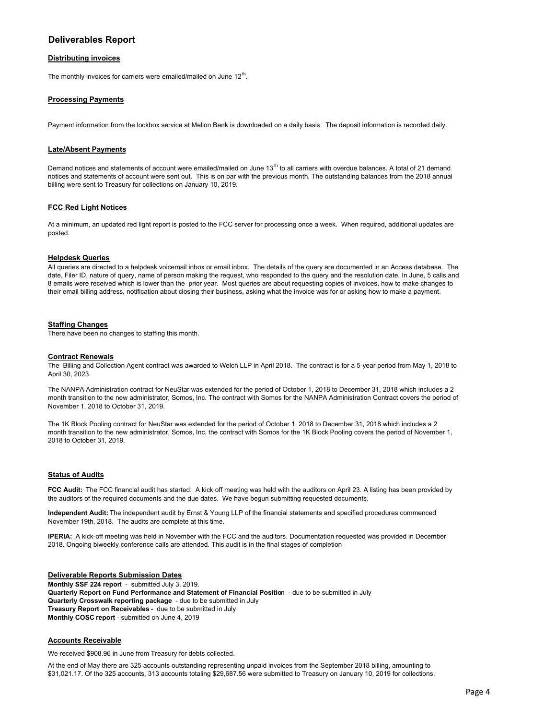# **Deliverables Report**

## **Distributing invoices**

The monthly invoices for carriers were emailed/mailed on June  $12<sup>th</sup>$ .

## **Processing Payments**

Payment information from the lockbox service at Mellon Bank is downloaded on a daily basis. The deposit information is recorded daily.

## **Late/Absent Payments**

Demand notices and statements of account were emailed/mailed on June 13<sup>th</sup> to all carriers with overdue balances. A total of 21 demand notices and statements of account were sent out. This is on par with the previous month. The outstanding balances from the 2018 annual billing were sent to Treasury for collections on January 10, 2019.

#### **FCC Red Light Notices**

At a minimum, an updated red light report is posted to the FCC server for processing once a week. When required, additional updates are posted.

#### **Helpdesk Queries**

All queries are directed to a helpdesk voicemail inbox or email inbox. The details of the query are documented in an Access database. The date, Filer ID, nature of query, name of person making the request, who responded to the query and the resolution date. In June, 5 calls and 8 emails were received which is lower than the prior year. Most queries are about requesting copies of invoices, how to make changes to their email billing address, notification about closing their business, asking what the invoice was for or asking how to make a payment.

#### **Staffing Changes**

There have been no changes to staffing this month.

#### **Contract Renewals**

The Billing and Collection Agent contract was awarded to Welch LLP in April 2018. The contract is for a 5-year period from May 1, 2018 to April 30, 2023.

The NANPA Administration contract for NeuStar was extended for the period of October 1, 2018 to December 31, 2018 which includes a 2 month transition to the new administrator, Somos, Inc. The contract with Somos for the NANPA Administration Contract covers the period of November 1, 2018 to October 31, 2019.

The 1K Block Pooling contract for NeuStar was extended for the period of October 1, 2018 to December 31, 2018 which includes a 2 month transition to the new administrator, Somos, Inc. the contract with Somos for the 1K Block Pooling covers the period of November 1, 2018 to October 31, 2019.

#### **Status of Audits**

**FCC Audit:** The FCC financial audit has started. A kick off meeting was held with the auditors on April 23. A listing has been provided by the auditors of the required documents and the due dates. We have begun submitting requested documents.

**Independent Audit:** The independent audit by Ernst & Young LLP of the financial statements and specified procedures commenced November 19th, 2018. The audits are complete at this time.

**IPERIA:** A kick-off meeting was held in November with the FCC and the auditors. Documentation requested was provided in December 2018. Ongoing biweekly conference calls are attended. This audit is in the final stages of completion

#### **Deliverable Reports Submission Dates**

**Monthly SSF 224 repor**t - submitted July 3, 2019. **Quarterly Report on Fund Performance and Statement of Financial Positio**n - due to be submitted in July **Quarterly Crosswalk reporting package** - due to be submitted in July **Treasury Report on Receivables** - due to be submitted in July **Monthly COSC report** - submitted on June 4, 2019

## **Accounts Receivable**

We received \$908.96 in June from Treasury for debts collected.

At the end of May there are 325 accounts outstanding representing unpaid invoices from the September 2018 billing, amounting to \$31,021.17. Of the 325 accounts, 313 accounts totaling \$29,687.56 were submitted to Treasury on January 10, 2019 for collections.